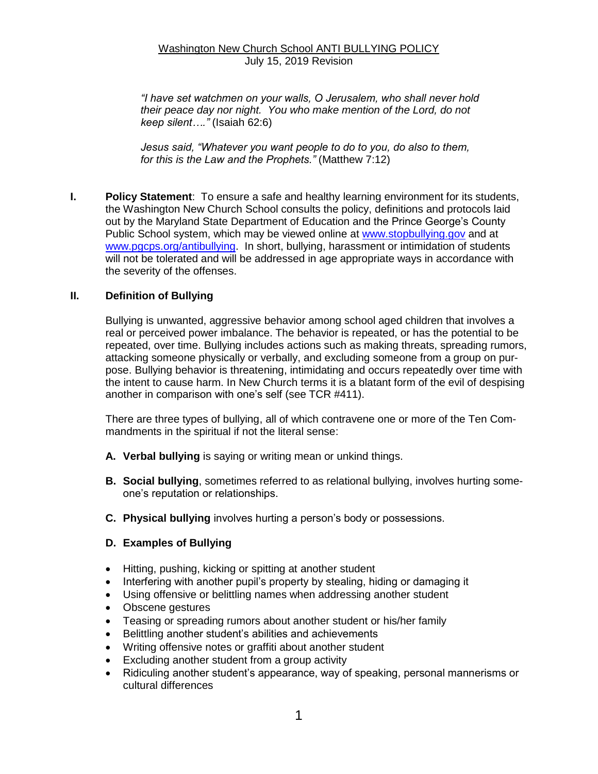### Washington New Church School ANTI BULLYING POLICY July 15, 2019 Revision

*"I have set watchmen on your walls, O Jerusalem, who shall never hold their peace day nor night. You who make mention of the Lord, do not keep silent…."* (Isaiah 62:6)

*Jesus said, "Whatever you want people to do to you, do also to them, for this is the Law and the Prophets."* (Matthew 7:12)

**I. Policy Statement**: To ensure a safe and healthy learning environment for its students, the Washington New Church School consults the policy, definitions and protocols laid out by the Maryland State Department of Education and the Prince George's County Public School system, which may be viewed online at [www.stopbullying.gov](http://www.stopbullying.gov/) and at [www.pgcps.org/antibullying.](http://www.pgcps.org/antibullying) In short, bullying, harassment or intimidation of students will not be tolerated and will be addressed in age appropriate ways in accordance with the severity of the offenses.

### **II. Definition of Bullying**

Bullying is unwanted, aggressive behavior among school aged children that involves a real or perceived power imbalance. The behavior is repeated, or has the potential to be repeated, over time. Bullying includes actions such as making threats, spreading rumors, attacking someone physically or verbally, and excluding someone from a group on purpose. Bullying behavior is threatening, intimidating and occurs repeatedly over time with the intent to cause harm. In New Church terms it is a blatant form of the evil of despising another in comparison with one's self (see TCR #411).

There are three types of bullying, all of which contravene one or more of the Ten Commandments in the spiritual if not the literal sense:

- **A. Verbal bullying** is saying or writing mean or unkind things.
- **B. Social bullying**, sometimes referred to as relational bullying, involves hurting someone's reputation or relationships.
- **C. Physical bullying** involves hurting a person's body or possessions.
- **D. Examples of Bullying**
- Hitting, pushing, kicking or spitting at another student
- Interfering with another pupil's property by stealing, hiding or damaging it
- Using offensive or belittling names when addressing another student
- Obscene gestures
- Teasing or spreading rumors about another student or his/her family
- Belittling another student's abilities and achievements
- Writing offensive notes or graffiti about another student
- Excluding another student from a group activity
- Ridiculing another student's appearance, way of speaking, personal mannerisms or cultural differences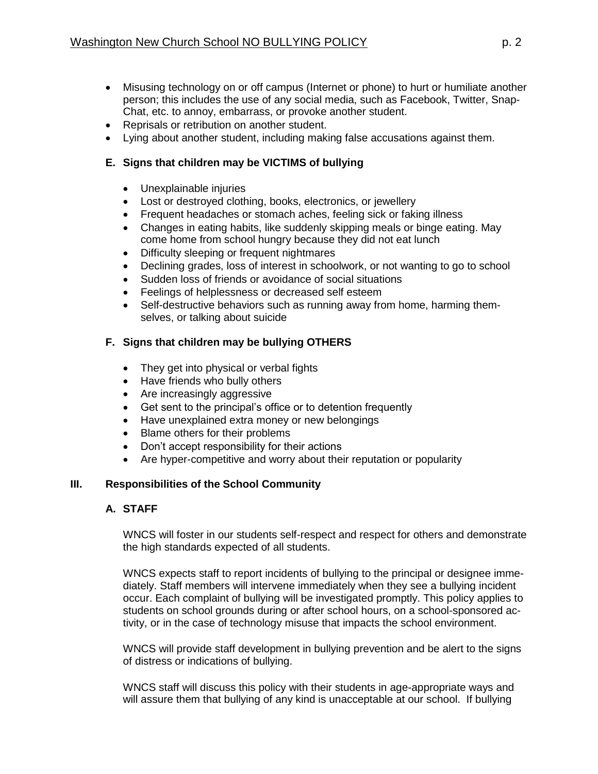- Misusing technology on or off campus (Internet or phone) to hurt or humiliate another person; this includes the use of any social media, such as Facebook, Twitter, Snap-Chat, etc. to annoy, embarrass, or provoke another student.
- Reprisals or retribution on another student.
- Lying about another student, including making false accusations against them.

## **E. Signs that children may be VICTIMS of bullying**

- Unexplainable injuries
- Lost or destroyed clothing, books, electronics, or jewellery
- Frequent headaches or stomach aches, feeling sick or faking illness
- Changes in eating habits, like suddenly skipping meals or binge eating. May come home from school hungry because they did not eat lunch
- Difficulty sleeping or frequent nightmares
- Declining grades, loss of interest in schoolwork, or not wanting to go to school
- Sudden loss of friends or avoidance of social situations
- **•** Feelings of helplessness or decreased self esteem
- Self-destructive behaviors such as running away from home, harming themselves, or talking about suicide

# **F. Signs that children may be bullying OTHERS**

- They get into physical or verbal fights
- Have friends who bully others
- Are increasingly aggressive
- Get sent to the principal's office or to detention frequently
- Have unexplained extra money or new belongings
- Blame others for their problems
- Don't accept responsibility for their actions
- Are hyper-competitive and worry about their reputation or popularity

# **III. Responsibilities of the School Community**

### **A. STAFF**

WNCS will foster in our students self-respect and respect for others and demonstrate the high standards expected of all students.

WNCS expects staff to report incidents of bullying to the principal or designee immediately. Staff members will intervene immediately when they see a bullying incident occur. Each complaint of bullying will be investigated promptly. This policy applies to students on school grounds during or after school hours, on a school-sponsored activity, or in the case of technology misuse that impacts the school environment.

WNCS will provide staff development in bullying prevention and be alert to the signs of distress or indications of bullying.

WNCS staff will discuss this policy with their students in age-appropriate ways and will assure them that bullying of any kind is unacceptable at our school. If bullying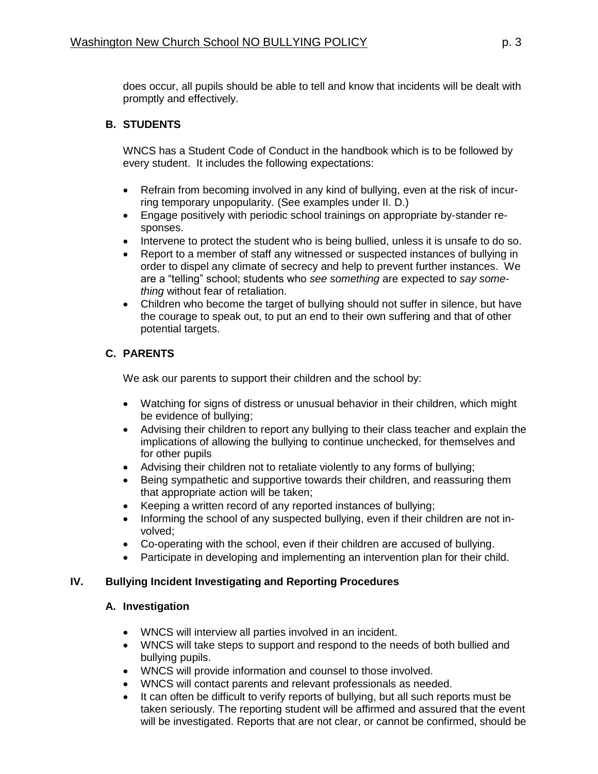does occur, all pupils should be able to tell and know that incidents will be dealt with promptly and effectively.

## **B. STUDENTS**

WNCS has a Student Code of Conduct in the handbook which is to be followed by every student. It includes the following expectations:

- Refrain from becoming involved in any kind of bullying, even at the risk of incurring temporary unpopularity. (See examples under II. D.)
- Engage positively with periodic school trainings on appropriate by-stander responses.
- Intervene to protect the student who is being bullied, unless it is unsafe to do so.
- Report to a member of staff any witnessed or suspected instances of bullying in order to dispel any climate of secrecy and help to prevent further instances. We are a "telling" school; students who *see something* are expected to *say something* without fear of retaliation.
- Children who become the target of bullying should not suffer in silence, but have the courage to speak out, to put an end to their own suffering and that of other potential targets.

## **C. PARENTS**

We ask our parents to support their children and the school by:

- Watching for signs of distress or unusual behavior in their children, which might be evidence of bullying;
- Advising their children to report any bullying to their class teacher and explain the implications of allowing the bullying to continue unchecked, for themselves and for other pupils
- Advising their children not to retaliate violently to any forms of bullying;
- Being sympathetic and supportive towards their children, and reassuring them that appropriate action will be taken;
- Keeping a written record of any reported instances of bullying;
- Informing the school of any suspected bullying, even if their children are not involved;
- Co-operating with the school, even if their children are accused of bullying.
- Participate in developing and implementing an intervention plan for their child.

### **IV. Bullying Incident Investigating and Reporting Procedures**

### **A. Investigation**

- WNCS will interview all parties involved in an incident.
- WNCS will take steps to support and respond to the needs of both bullied and bullying pupils.
- WNCS will provide information and counsel to those involved.
- WNCS will contact parents and relevant professionals as needed.
- It can often be difficult to verify reports of bullying, but all such reports must be taken seriously. The reporting student will be affirmed and assured that the event will be investigated. Reports that are not clear, or cannot be confirmed, should be